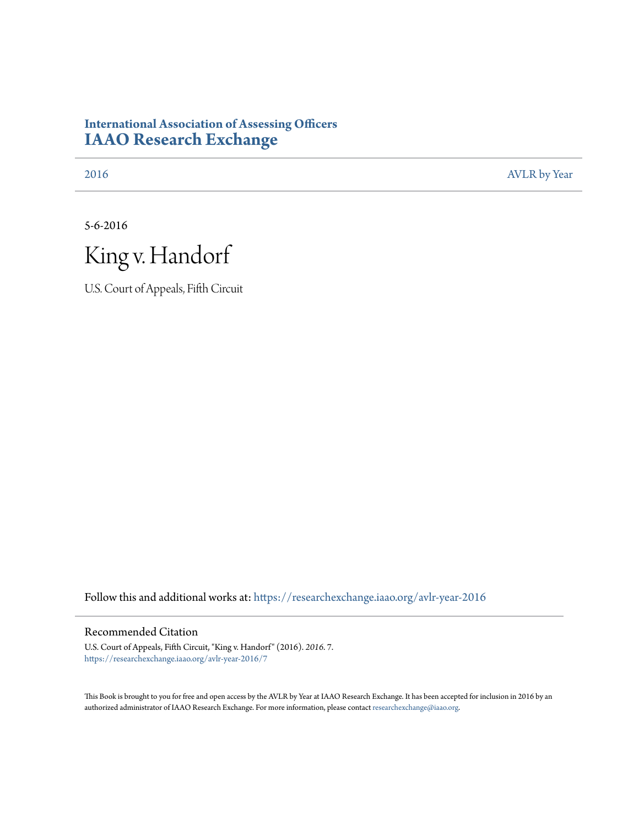# **International Association of Assessing Officers [IAAO Research Exchange](https://researchexchange.iaao.org?utm_source=researchexchange.iaao.org%2Favlr-year-2016%2F7&utm_medium=PDF&utm_campaign=PDFCoverPages)**

[2016](https://researchexchange.iaao.org/avlr-year-2016?utm_source=researchexchange.iaao.org%2Favlr-year-2016%2F7&utm_medium=PDF&utm_campaign=PDFCoverPages) [AVLR by Year](https://researchexchange.iaao.org/avlr-year?utm_source=researchexchange.iaao.org%2Favlr-year-2016%2F7&utm_medium=PDF&utm_campaign=PDFCoverPages)

5-6-2016



U.S. Court of Appeals, Fifth Circuit

Follow this and additional works at: [https://researchexchange.iaao.org/avlr-year-2016](https://researchexchange.iaao.org/avlr-year-2016?utm_source=researchexchange.iaao.org%2Favlr-year-2016%2F7&utm_medium=PDF&utm_campaign=PDFCoverPages)

#### Recommended Citation

U.S. Court of Appeals, Fifth Circuit, "King v. Handorf" (2016). *2016*. 7. [https://researchexchange.iaao.org/avlr-year-2016/7](https://researchexchange.iaao.org/avlr-year-2016/7?utm_source=researchexchange.iaao.org%2Favlr-year-2016%2F7&utm_medium=PDF&utm_campaign=PDFCoverPages)

This Book is brought to you for free and open access by the AVLR by Year at IAAO Research Exchange. It has been accepted for inclusion in 2016 by an authorized administrator of IAAO Research Exchange. For more information, please contact [researchexchange@iaao.org](mailto:researchexchange@iaao.org).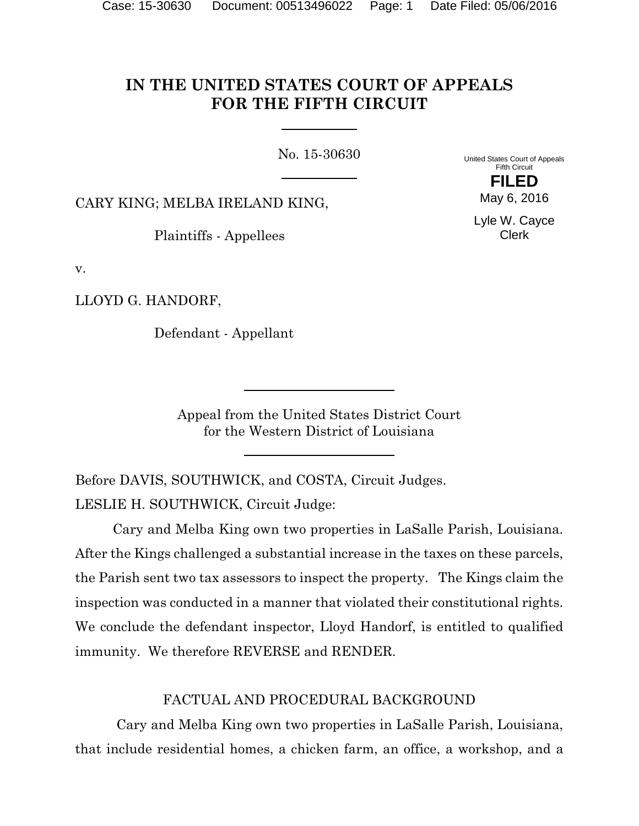# **IN THE UNITED STATES COURT OF APPEALS FOR THE FIFTH CIRCUIT**

No. 15-30630

United States Court of Appeals Fifth Circuit **FILED**

CARY KING; MELBA IRELAND KING,

Plaintiffs - Appellees

Lyle W. Cayce Clerk

May 6, 2016

v.

LLOYD G. HANDORF,

Defendant - Appellant

Appeal from the United States District Court for the Western District of Louisiana

Before DAVIS, SOUTHWICK, and COSTA, Circuit Judges. LESLIE H. SOUTHWICK, Circuit Judge:

Cary and Melba King own two properties in LaSalle Parish, Louisiana. After the Kings challenged a substantial increase in the taxes on these parcels, the Parish sent two tax assessors to inspect the property. The Kings claim the inspection was conducted in a manner that violated their constitutional rights. We conclude the defendant inspector, Lloyd Handorf, is entitled to qualified immunity. We therefore REVERSE and RENDER.

FACTUAL AND PROCEDURAL BACKGROUND

Cary and Melba King own two properties in LaSalle Parish, Louisiana, that include residential homes, a chicken farm, an office, a workshop, and a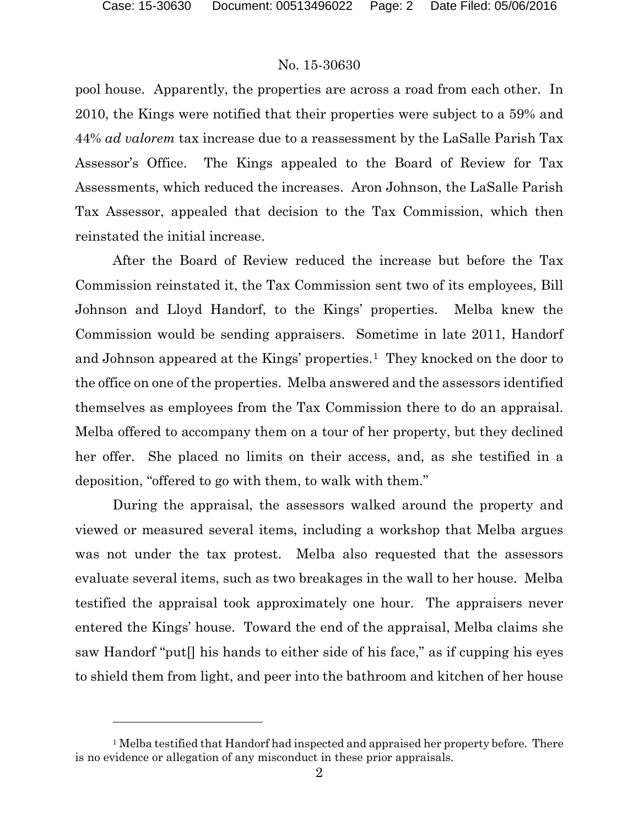l

## No. 15-30630

pool house. Apparently, the properties are across a road from each other. In 2010, the Kings were notified that their properties were subject to a 59% and 44% *ad valorem* tax increase due to a reassessment by the LaSalle Parish Tax Assessor's Office. The Kings appealed to the Board of Review for Tax Assessments, which reduced the increases. Aron Johnson, the LaSalle Parish Tax Assessor, appealed that decision to the Tax Commission, which then reinstated the initial increase.

After the Board of Review reduced the increase but before the Tax Commission reinstated it, the Tax Commission sent two of its employees, Bill Johnson and Lloyd Handorf, to the Kings' properties. Melba knew the Commission would be sending appraisers. Sometime in late 2011, Handorf and Johnson appeared at the Kings' properties.<sup>[1](#page-2-0)</sup> They knocked on the door to the office on one of the properties. Melba answered and the assessors identified themselves as employees from the Tax Commission there to do an appraisal. Melba offered to accompany them on a tour of her property, but they declined her offer. She placed no limits on their access, and, as she testified in a deposition, "offered to go with them, to walk with them."

During the appraisal, the assessors walked around the property and viewed or measured several items, including a workshop that Melba argues was not under the tax protest. Melba also requested that the assessors evaluate several items, such as two breakages in the wall to her house. Melba testified the appraisal took approximately one hour. The appraisers never entered the Kings' house. Toward the end of the appraisal, Melba claims she saw Handorf "put[] his hands to either side of his face," as if cupping his eyes to shield them from light, and peer into the bathroom and kitchen of her house

<span id="page-2-0"></span><sup>&</sup>lt;sup>1</sup> Melba testified that Handorf had inspected and appraised her property before. There is no evidence or allegation of any misconduct in these prior appraisals.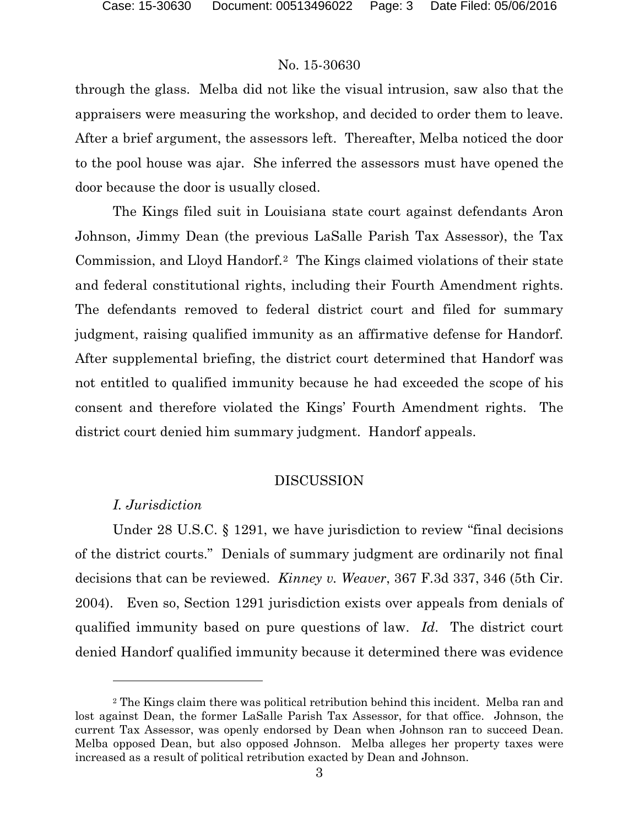through the glass. Melba did not like the visual intrusion, saw also that the appraisers were measuring the workshop, and decided to order them to leave. After a brief argument, the assessors left. Thereafter, Melba noticed the door to the pool house was ajar. She inferred the assessors must have opened the door because the door is usually closed.

The Kings filed suit in Louisiana state court against defendants Aron Johnson, Jimmy Dean (the previous LaSalle Parish Tax Assessor), the Tax Commission, and Lloyd Handorf.[2](#page-3-0) The Kings claimed violations of their state and federal constitutional rights, including their Fourth Amendment rights. The defendants removed to federal district court and filed for summary judgment, raising qualified immunity as an affirmative defense for Handorf. After supplemental briefing, the district court determined that Handorf was not entitled to qualified immunity because he had exceeded the scope of his consent and therefore violated the Kings' Fourth Amendment rights. The district court denied him summary judgment. Handorf appeals.

### DISCUSSION

## *I. Jurisdiction*

l

Under 28 U.S.C. § 1291, we have jurisdiction to review "final decisions of the district courts." Denials of summary judgment are ordinarily not final decisions that can be reviewed. *Kinney v. Weaver*, 367 F.3d 337, 346 (5th Cir. 2004). Even so, Section 1291 jurisdiction exists over appeals from denials of qualified immunity based on pure questions of law. *Id*. The district court denied Handorf qualified immunity because it determined there was evidence

<span id="page-3-0"></span><sup>2</sup> The Kings claim there was political retribution behind this incident. Melba ran and lost against Dean, the former LaSalle Parish Tax Assessor, for that office. Johnson, the current Tax Assessor, was openly endorsed by Dean when Johnson ran to succeed Dean. Melba opposed Dean, but also opposed Johnson. Melba alleges her property taxes were increased as a result of political retribution exacted by Dean and Johnson.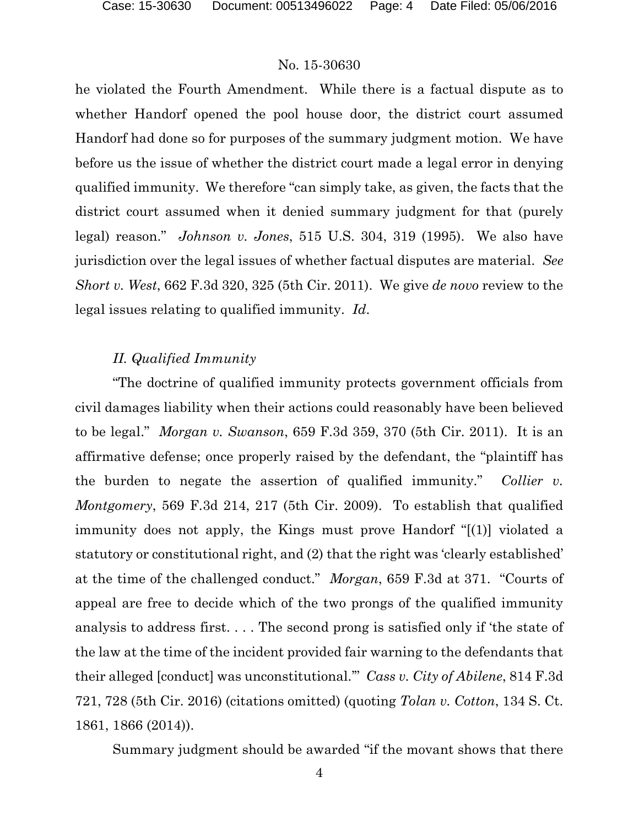he violated the Fourth Amendment. While there is a factual dispute as to whether Handorf opened the pool house door, the district court assumed Handorf had done so for purposes of the summary judgment motion. We have before us the issue of whether the district court made a legal error in denying qualified immunity. We therefore "can simply take, as given, the facts that the district court assumed when it denied summary judgment for that (purely legal) reason." *Johnson v. Jones*, 515 U.S. 304, 319 (1995). We also have jurisdiction over the legal issues of whether factual disputes are material. *See Short v. West*, 662 F.3d 320, 325 (5th Cir. 2011). We give *de novo* review to the legal issues relating to qualified immunity. *Id*.

# *II. Qualified Immunity*

"The doctrine of qualified immunity protects government officials from civil damages liability when their actions could reasonably have been believed to be legal." *Morgan v. Swanson*, 659 F.3d 359, 370 (5th Cir. 2011). It is an affirmative defense; once properly raised by the defendant, the "plaintiff has the burden to negate the assertion of qualified immunity." *Collier v. Montgomery*, 569 F.3d 214, 217 (5th Cir. 2009). To establish that qualified immunity does not apply, the Kings must prove Handorf "[(1)] violated a statutory or constitutional right, and (2) that the right was 'clearly established' at the time of the challenged conduct." *Morgan*, 659 F.3d at 371. "Courts of appeal are free to decide which of the two prongs of the qualified immunity analysis to address first. . . . The second prong is satisfied only if 'the state of the law at the time of the incident provided fair warning to the defendants that their alleged [conduct] was unconstitutional.'" *Cass v. City of Abilene*, 814 F.3d 721, 728 (5th Cir. 2016) (citations omitted) (quoting *Tolan v. Cotton*, 134 S. Ct. 1861, 1866 (2014)).

Summary judgment should be awarded "if the movant shows that there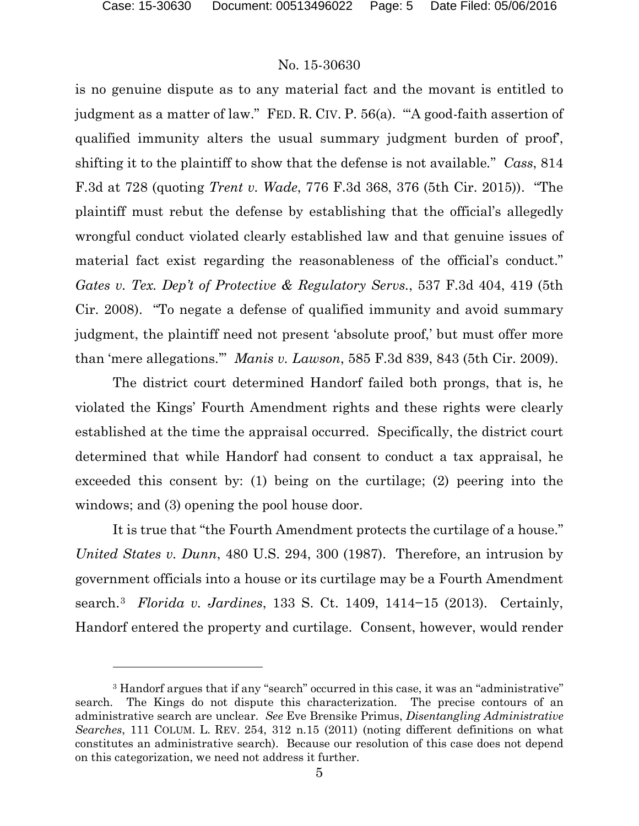$\overline{a}$ 

### No. 15-30630

is no genuine dispute as to any material fact and the movant is entitled to judgment as a matter of law." FED. R. CIV. P. 56(a). "'A good-faith assertion of qualified immunity alters the usual summary judgment burden of proof', shifting it to the plaintiff to show that the defense is not available*.*" *Cass*, 814 F.3d at 728 (quoting *Trent v. Wade*, 776 F.3d 368, 376 (5th Cir. 2015)). "The plaintiff must rebut the defense by establishing that the official's allegedly wrongful conduct violated clearly established law and that genuine issues of material fact exist regarding the reasonableness of the official's conduct." *Gates v. Tex. Dep't of Protective & Regulatory Servs.*, 537 F.3d 404, 419 (5th Cir. 2008). "To negate a defense of qualified immunity and avoid summary judgment, the plaintiff need not present 'absolute proof,' but must offer more than 'mere allegations.'" *Manis v. Lawson*, 585 F.3d 839, 843 (5th Cir. 2009).

The district court determined Handorf failed both prongs, that is, he violated the Kings' Fourth Amendment rights and these rights were clearly established at the time the appraisal occurred. Specifically, the district court determined that while Handorf had consent to conduct a tax appraisal, he exceeded this consent by: (1) being on the curtilage; (2) peering into the windows; and (3) opening the pool house door.

It is true that "the Fourth Amendment protects the curtilage of a house." *United States v. Dunn*, 480 U.S. 294, 300 (1987). Therefore, an intrusion by government officials into a house or its curtilage may be a Fourth Amendment search.[3](#page-5-0) *Florida v. Jardines*, 133 S. Ct. 1409, 1414−15 (2013). Certainly, Handorf entered the property and curtilage. Consent, however, would render

<span id="page-5-0"></span><sup>&</sup>lt;sup>3</sup> Handorf argues that if any "search" occurred in this case, it was an "administrative" search. The Kings do not dispute this characterization. The precise contours of an administrative search are unclear. *See* Eve Brensike Primus, *Disentangling Administrative Searches*, 111 COLUM. L. REV. 254, 312 n.15 (2011) (noting different definitions on what constitutes an administrative search). Because our resolution of this case does not depend on this categorization, we need not address it further.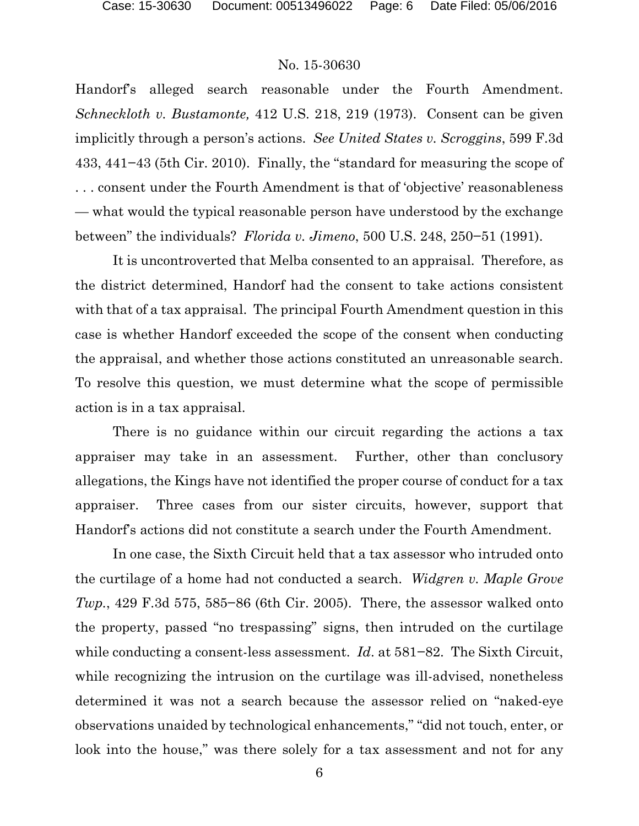Handorf's alleged search reasonable under the Fourth Amendment. *Schneckloth v. Bustamonte,* 412 U.S. 218, 219 (1973). Consent can be given implicitly through a person's actions. *See United States v. Scroggins*, 599 F.3d 433, 441−43 (5th Cir. 2010). Finally, the "standard for measuring the scope of . . . consent under the Fourth Amendment is that of 'objective' reasonableness — what would the typical reasonable person have understood by the exchange between" the individuals? *Florida v. Jimeno*, 500 U.S. 248, 250−51 (1991).

It is uncontroverted that Melba consented to an appraisal. Therefore, as the district determined, Handorf had the consent to take actions consistent with that of a tax appraisal. The principal Fourth Amendment question in this case is whether Handorf exceeded the scope of the consent when conducting the appraisal, and whether those actions constituted an unreasonable search. To resolve this question, we must determine what the scope of permissible action is in a tax appraisal.

There is no guidance within our circuit regarding the actions a tax appraiser may take in an assessment. Further, other than conclusory allegations, the Kings have not identified the proper course of conduct for a tax appraiser. Three cases from our sister circuits, however, support that Handorf's actions did not constitute a search under the Fourth Amendment.

In one case, the Sixth Circuit held that a tax assessor who intruded onto the curtilage of a home had not conducted a search. *Widgren v. Maple Grove Twp.*, 429 F.3d 575, 585–86 (6th Cir. 2005). There, the assessor walked onto the property, passed "no trespassing" signs, then intruded on the curtilage while conducting a consent-less assessment. *Id*. at 581−82. The Sixth Circuit, while recognizing the intrusion on the curtilage was ill-advised, nonetheless determined it was not a search because the assessor relied on "naked-eye observations unaided by technological enhancements," "did not touch, enter, or look into the house," was there solely for a tax assessment and not for any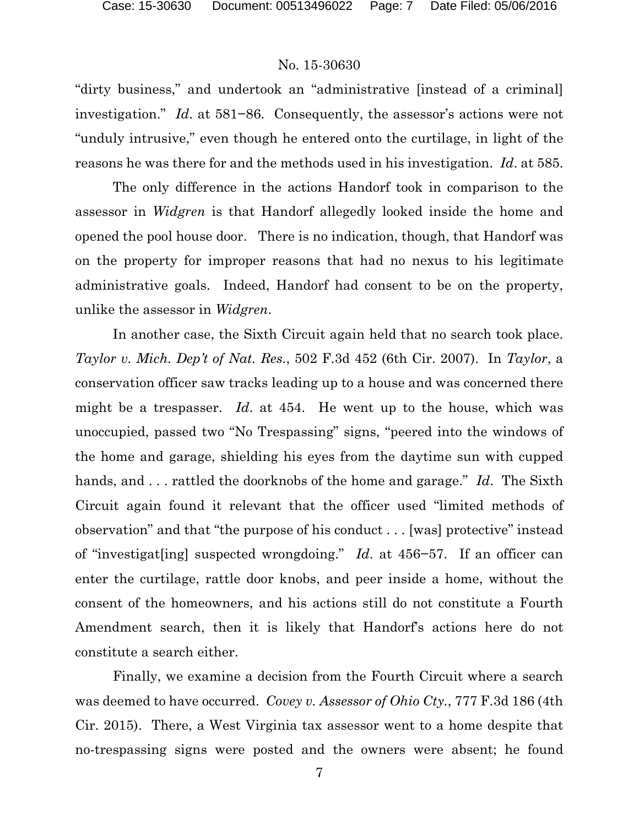"dirty business," and undertook an "administrative [instead of a criminal] investigation." *Id*. at 581−86. Consequently, the assessor's actions were not "unduly intrusive," even though he entered onto the curtilage, in light of the reasons he was there for and the methods used in his investigation. *Id*. at 585.

The only difference in the actions Handorf took in comparison to the assessor in *Widgren* is that Handorf allegedly looked inside the home and opened the pool house door. There is no indication, though, that Handorf was on the property for improper reasons that had no nexus to his legitimate administrative goals. Indeed, Handorf had consent to be on the property, unlike the assessor in *Widgren*.

In another case, the Sixth Circuit again held that no search took place. *Taylor v. Mich. Dep't of Nat. Res.*, 502 F.3d 452 (6th Cir. 2007). In *Taylor*, a conservation officer saw tracks leading up to a house and was concerned there might be a trespasser. *Id*. at 454. He went up to the house, which was unoccupied, passed two "No Trespassing" signs, "peered into the windows of the home and garage, shielding his eyes from the daytime sun with cupped hands, and . . . rattled the doorknobs of the home and garage." *Id*. The Sixth Circuit again found it relevant that the officer used "limited methods of observation" and that "the purpose of his conduct . . . [was] protective" instead of "investigat[ing] suspected wrongdoing." *Id*. at 456−57. If an officer can enter the curtilage, rattle door knobs, and peer inside a home, without the consent of the homeowners, and his actions still do not constitute a Fourth Amendment search, then it is likely that Handorf's actions here do not constitute a search either.

Finally, we examine a decision from the Fourth Circuit where a search was deemed to have occurred. *Covey v. Assessor of Ohio Cty.*, 777 F.3d 186 (4th Cir. 2015). There, a West Virginia tax assessor went to a home despite that no-trespassing signs were posted and the owners were absent; he found